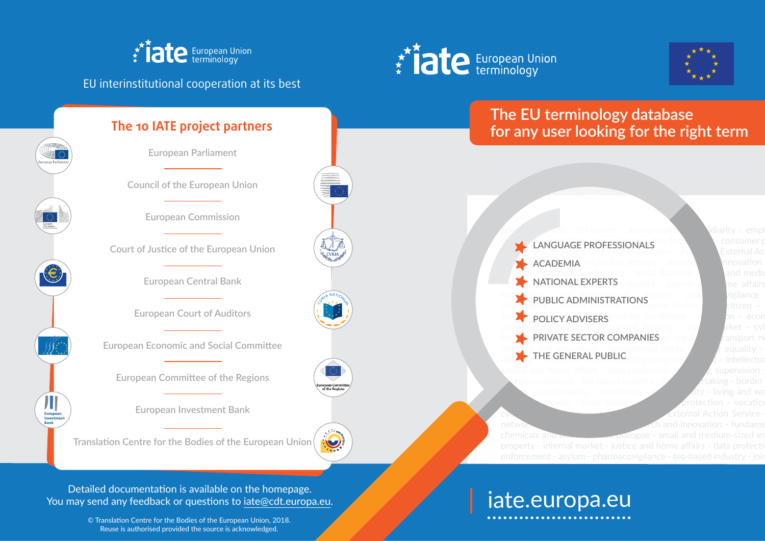

# **for any user looking for the right term**

aking - border i

enforcement - asylum - pharmacovigilance - bio-based industry - joir

© Translation Centre for the Bodies of the European Union, 2018. Reuse is authorised provided the source is acknowledged.





## EU interinstitutional cooperation at its best

Л Europear Rank